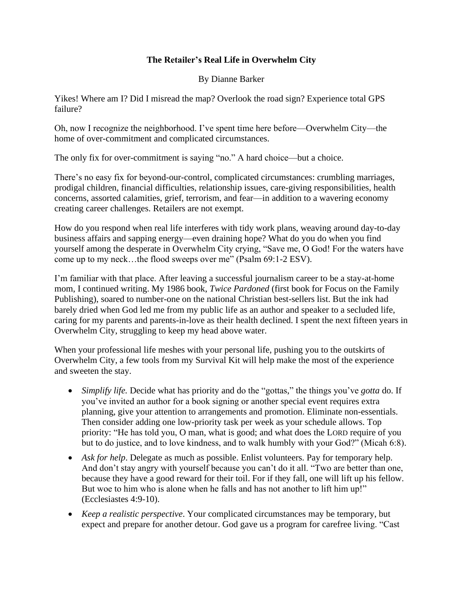## **The Retailer's Real Life in Overwhelm City**

By Dianne Barker

Yikes! Where am I? Did I misread the map? Overlook the road sign? Experience total GPS failure?

Oh, now I recognize the neighborhood. I've spent time here before—Overwhelm City—the home of over-commitment and complicated circumstances.

The only fix for over-commitment is saying "no." A hard choice—but a choice.

There's no easy fix for beyond-our-control, complicated circumstances: crumbling marriages, prodigal children, financial difficulties, relationship issues, care-giving responsibilities, health concerns, assorted calamities, grief, terrorism, and fear—in addition to a wavering economy creating career challenges. Retailers are not exempt.

How do you respond when real life interferes with tidy work plans, weaving around day-to-day business affairs and sapping energy—even draining hope? What do you do when you find yourself among the desperate in Overwhelm City crying, "Save me, O God! For the waters have come up to my neck…the flood sweeps over me" (Psalm 69:1-2 ESV).

I'm familiar with that place. After leaving a successful journalism career to be a stay-at-home mom, I continued writing. My 1986 book, *Twice Pardoned* (first book for Focus on the Family Publishing), soared to number-one on the national Christian best-sellers list. But the ink had barely dried when God led me from my public life as an author and speaker to a secluded life, caring for my parents and parents-in-love as their health declined. I spent the next fifteen years in Overwhelm City, struggling to keep my head above water.

When your professional life meshes with your personal life, pushing you to the outskirts of Overwhelm City, a few tools from my Survival Kit will help make the most of the experience and sweeten the stay.

- *Simplify life.* Decide what has priority and do the "gottas," the things you've *gotta* do. If you've invited an author for a book signing or another special event requires extra planning, give your attention to arrangements and promotion. Eliminate non-essentials. Then consider adding one low-priority task per week as your schedule allows. Top priority: "He has told you, O man, what is good; and what does the LORD require of you but to do justice, and to love kindness, and to walk humbly with your God?" (Micah 6:8).
- *Ask for help*. Delegate as much as possible. Enlist volunteers. Pay for temporary help. And don't stay angry with yourself because you can't do it all. "Two are better than one, because they have a good reward for their toil. For if they fall, one will lift up his fellow. But woe to him who is alone when he falls and has not another to lift him up!" (Ecclesiastes 4:9-10).
- *Keep a realistic perspective*. Your complicated circumstances may be temporary, but expect and prepare for another detour. God gave us a program for carefree living. "Cast